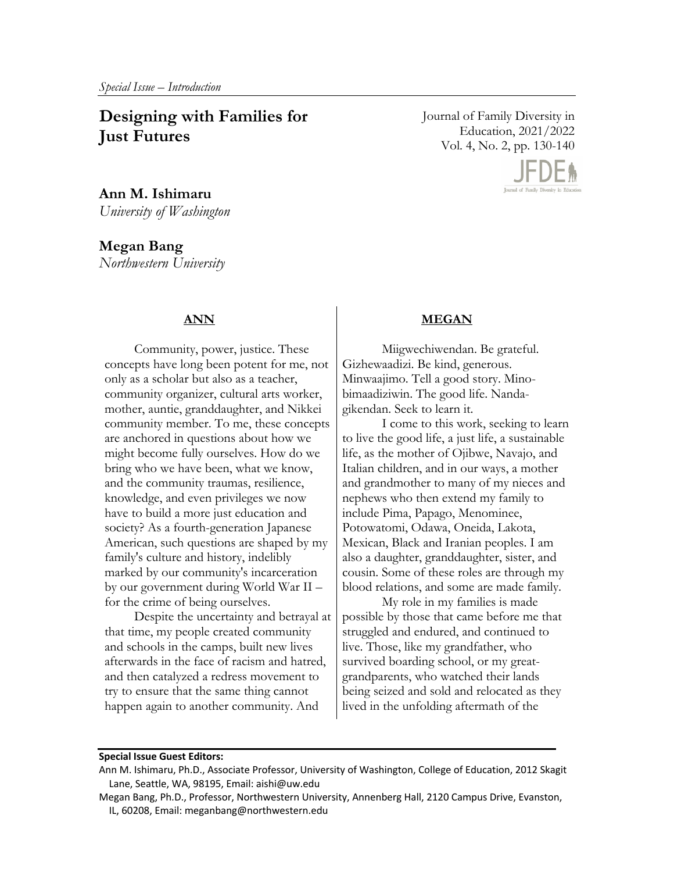# **Designing with Families for Just Futures**

**Ann M. Ishimaru**  *University of Washington* 

**Megan Bang**  *Northwestern University* 

## **ANN**

Community, power, justice. These concepts have long been potent for me, not only as a scholar but also as a teacher, community organizer, cultural arts worker, mother, auntie, granddaughter, and Nikkei community member. To me, these concepts are anchored in questions about how we might become fully ourselves. How do we bring who we have been, what we know, and the community traumas, resilience, knowledge, and even privileges we now have to build a more just education and society? As a fourth-generation Japanese American, such questions are shaped by my family's culture and history, indelibly marked by our community's incarceration by our government during World War II – for the crime of being ourselves.

Despite the uncertainty and betrayal at that time, my people created community and schools in the camps, built new lives afterwards in the face of racism and hatred, and then catalyzed a redress movement to try to ensure that the same thing cannot happen again to another community. And

Journal of Family Diversity in Education, 2021/2022 Vol. 4, No. 2, pp. 130-140



#### **MEGAN**

Miigwechiwendan. Be grateful. Gizhewaadizi. Be kind, generous. Minwaajimo. Tell a good story. Minobimaadiziwin. The good life. Nandagikendan. Seek to learn it.

I come to this work, seeking to learn to live the good life, a just life, a sustainable life, as the mother of Ojibwe, Navajo, and Italian children, and in our ways, a mother and grandmother to many of my nieces and nephews who then extend my family to include Pima, Papago, Menominee, Potowatomi, Odawa, Oneida, Lakota, Mexican, Black and Iranian peoples. I am also a daughter, granddaughter, sister, and cousin. Some of these roles are through my blood relations, and some are made family.

My role in my families is made possible by those that came before me that struggled and endured, and continued to live. Those, like my grandfather, who survived boarding school, or my greatgrandparents, who watched their lands being seized and sold and relocated as they lived in the unfolding aftermath of the

#### **Special Issue Guest Editors:**

Ann M. Ishimaru, Ph.D., Associate Professor, University of Washington, College of Education, 2012 Skagit Lane, Seattle, WA, 98195, Email: aishi@uw.edu

Megan Bang, Ph.D., Professor, Northwestern University, Annenberg Hall, 2120 Campus Drive, Evanston, IL, 60208, Email: meganbang@northwestern.edu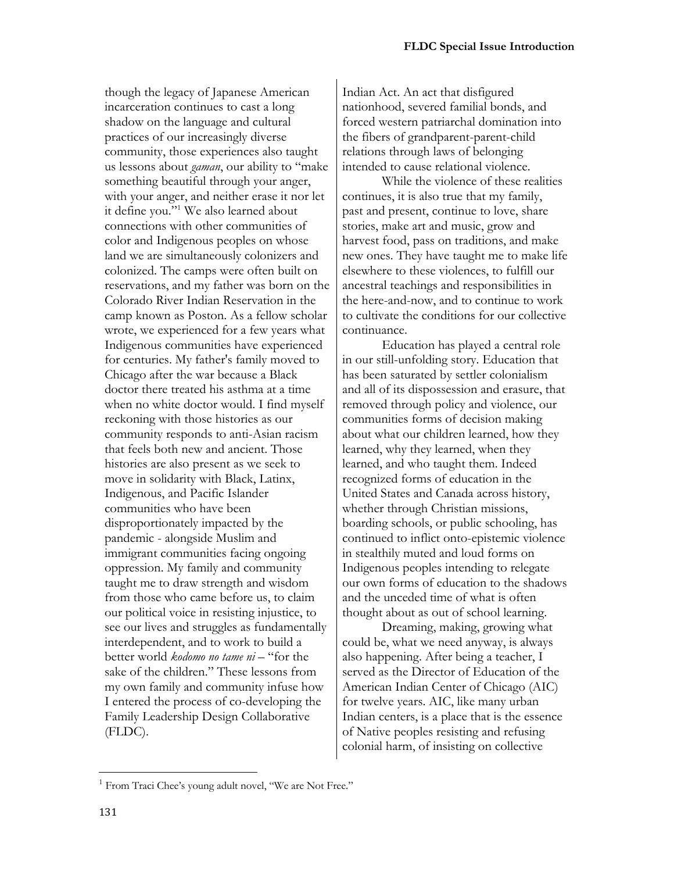though the legacy of Japanese American incarceration continues to cast a long shadow on the language and cultural practices of our increasingly diverse community, those experiences also taught us lessons about *gaman*, our ability to "make something beautiful through your anger, with your anger, and neither erase it nor let it define you."1 We also learned about connections with other communities of color and Indigenous peoples on whose land we are simultaneously colonizers and colonized. The camps were often built on reservations, and my father was born on the Colorado River Indian Reservation in the camp known as Poston. As a fellow scholar wrote, we experienced for a few years what Indigenous communities have experienced for centuries. My father's family moved to Chicago after the war because a Black doctor there treated his asthma at a time when no white doctor would. I find myself reckoning with those histories as our community responds to anti-Asian racism that feels both new and ancient. Those histories are also present as we seek to move in solidarity with Black, Latinx, Indigenous, and Pacific Islander communities who have been disproportionately impacted by the pandemic - alongside Muslim and immigrant communities facing ongoing oppression. My family and community taught me to draw strength and wisdom from those who came before us, to claim our political voice in resisting injustice, to see our lives and struggles as fundamentally interdependent, and to work to build a better world *kodomo no tame ni* – "for the sake of the children." These lessons from my own family and community infuse how I entered the process of co-developing the Family Leadership Design Collaborative (FLDC).

Indian Act. An act that disfigured nationhood, severed familial bonds, and forced western patriarchal domination into the fibers of grandparent-parent-child relations through laws of belonging intended to cause relational violence.

While the violence of these realities continues, it is also true that my family, past and present, continue to love, share stories, make art and music, grow and harvest food, pass on traditions, and make new ones. They have taught me to make life elsewhere to these violences, to fulfill our ancestral teachings and responsibilities in the here-and-now, and to continue to work to cultivate the conditions for our collective continuance.

Education has played a central role in our still-unfolding story. Education that has been saturated by settler colonialism and all of its dispossession and erasure, that removed through policy and violence, our communities forms of decision making about what our children learned, how they learned, why they learned, when they learned, and who taught them. Indeed recognized forms of education in the United States and Canada across history, whether through Christian missions, boarding schools, or public schooling, has continued to inflict onto-epistemic violence in stealthily muted and loud forms on Indigenous peoples intending to relegate our own forms of education to the shadows and the unceded time of what is often thought about as out of school learning.

Dreaming, making, growing what could be, what we need anyway, is always also happening. After being a teacher, I served as the Director of Education of the American Indian Center of Chicago (AIC) for twelve years. AIC, like many urban Indian centers, is a place that is the essence of Native peoples resisting and refusing colonial harm, of insisting on collective

 $1$  From Traci Chee's young adult novel, "We are Not Free."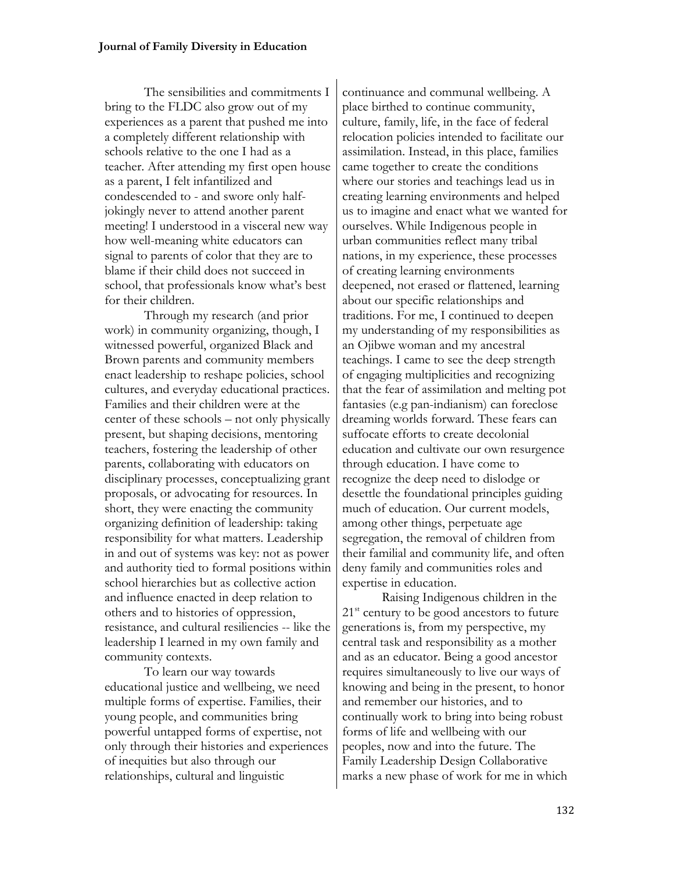The sensibilities and commitments I bring to the FLDC also grow out of my experiences as a parent that pushed me into a completely different relationship with schools relative to the one I had as a teacher. After attending my first open house as a parent, I felt infantilized and condescended to - and swore only halfjokingly never to attend another parent meeting! I understood in a visceral new way how well-meaning white educators can signal to parents of color that they are to blame if their child does not succeed in school, that professionals know what's best for their children.

Through my research (and prior work) in community organizing, though, I witnessed powerful, organized Black and Brown parents and community members enact leadership to reshape policies, school cultures, and everyday educational practices. Families and their children were at the center of these schools – not only physically present, but shaping decisions, mentoring teachers, fostering the leadership of other parents, collaborating with educators on disciplinary processes, conceptualizing grant proposals, or advocating for resources. In short, they were enacting the community organizing definition of leadership: taking responsibility for what matters. Leadership in and out of systems was key: not as power and authority tied to formal positions within school hierarchies but as collective action and influence enacted in deep relation to others and to histories of oppression, resistance, and cultural resiliencies -- like the leadership I learned in my own family and community contexts.

To learn our way towards educational justice and wellbeing, we need multiple forms of expertise. Families, their young people, and communities bring powerful untapped forms of expertise, not only through their histories and experiences of inequities but also through our relationships, cultural and linguistic

continuance and communal wellbeing. A place birthed to continue community, culture, family, life, in the face of federal relocation policies intended to facilitate our assimilation. Instead, in this place, families came together to create the conditions where our stories and teachings lead us in creating learning environments and helped us to imagine and enact what we wanted for ourselves. While Indigenous people in urban communities reflect many tribal nations, in my experience, these processes of creating learning environments deepened, not erased or flattened, learning about our specific relationships and traditions. For me, I continued to deepen my understanding of my responsibilities as an Ojibwe woman and my ancestral teachings. I came to see the deep strength of engaging multiplicities and recognizing that the fear of assimilation and melting pot fantasies (e.g pan-indianism) can foreclose dreaming worlds forward. These fears can suffocate efforts to create decolonial education and cultivate our own resurgence through education. I have come to recognize the deep need to dislodge or desettle the foundational principles guiding much of education. Our current models, among other things, perpetuate age segregation, the removal of children from their familial and community life, and often deny family and communities roles and expertise in education.

Raising Indigenous children in the  $21<sup>st</sup>$  century to be good ancestors to future generations is, from my perspective, my central task and responsibility as a mother and as an educator. Being a good ancestor requires simultaneously to live our ways of knowing and being in the present, to honor and remember our histories, and to continually work to bring into being robust forms of life and wellbeing with our peoples, now and into the future. The Family Leadership Design Collaborative marks a new phase of work for me in which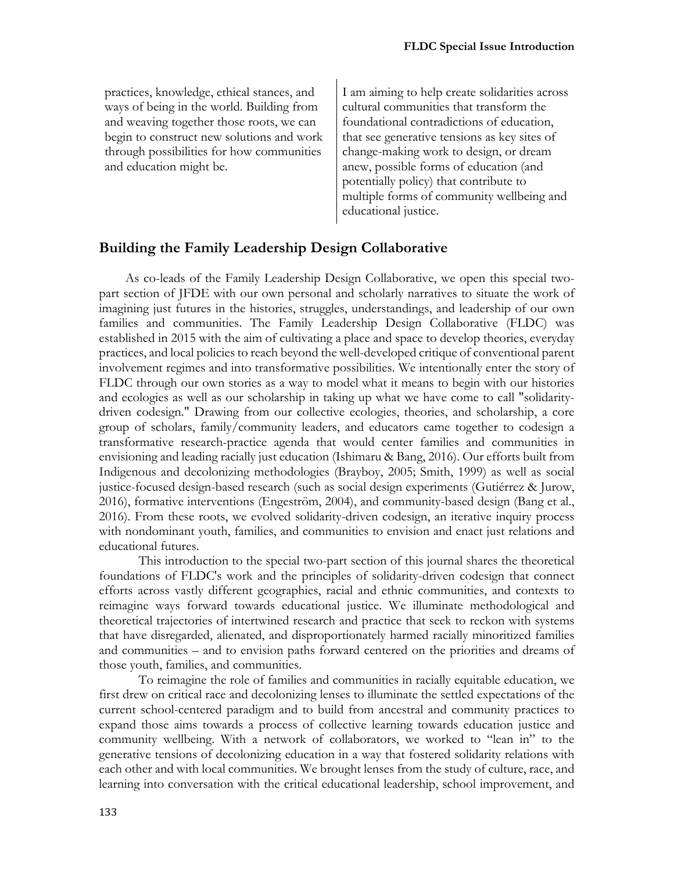practices, knowledge, ethical stances, and ways of being in the world. Building from and weaving together those roots, we can begin to construct new solutions and work through possibilities for how communities and education might be.

I am aiming to help create solidarities across cultural communities that transform the foundational contradictions of education, that see generative tensions as key sites of change-making work to design, or dream anew, possible forms of education (and potentially policy) that contribute to multiple forms of community wellbeing and educational justice.

## **Building the Family Leadership Design Collaborative**

 As co-leads of the Family Leadership Design Collaborative, we open this special twopart section of JFDE with our own personal and scholarly narratives to situate the work of imagining just futures in the histories, struggles, understandings, and leadership of our own families and communities. The Family Leadership Design Collaborative (FLDC) was established in 2015 with the aim of cultivating a place and space to develop theories, everyday practices, and local policies to reach beyond the well-developed critique of conventional parent involvement regimes and into transformative possibilities. We intentionally enter the story of FLDC through our own stories as a way to model what it means to begin with our histories and ecologies as well as our scholarship in taking up what we have come to call "solidaritydriven codesign." Drawing from our collective ecologies, theories, and scholarship, a core group of scholars, family/community leaders, and educators came together to codesign a transformative research-practice agenda that would center families and communities in envisioning and leading racially just education (Ishimaru & Bang, 2016). Our efforts built from Indigenous and decolonizing methodologies (Brayboy, 2005; Smith, 1999) as well as social justice-focused design-based research (such as social design experiments (Gutiérrez & Jurow, 2016), formative interventions (Engeström, 2004), and community-based design (Bang et al., 2016). From these roots, we evolved solidarity-driven codesign, an iterative inquiry process with nondominant youth, families, and communities to envision and enact just relations and educational futures.

This introduction to the special two-part section of this journal shares the theoretical foundations of FLDC's work and the principles of solidarity-driven codesign that connect efforts across vastly different geographies, racial and ethnic communities, and contexts to reimagine ways forward towards educational justice. We illuminate methodological and theoretical trajectories of intertwined research and practice that seek to reckon with systems that have disregarded, alienated, and disproportionately harmed racially minoritized families and communities – and to envision paths forward centered on the priorities and dreams of those youth, families, and communities.

To reimagine the role of families and communities in racially equitable education, we first drew on critical race and decolonizing lenses to illuminate the settled expectations of the current school-centered paradigm and to build from ancestral and community practices to expand those aims towards a process of collective learning towards education justice and community wellbeing. With a network of collaborators, we worked to "lean in" to the generative tensions of decolonizing education in a way that fostered solidarity relations with each other and with local communities. We brought lenses from the study of culture, race, and learning into conversation with the critical educational leadership, school improvement, and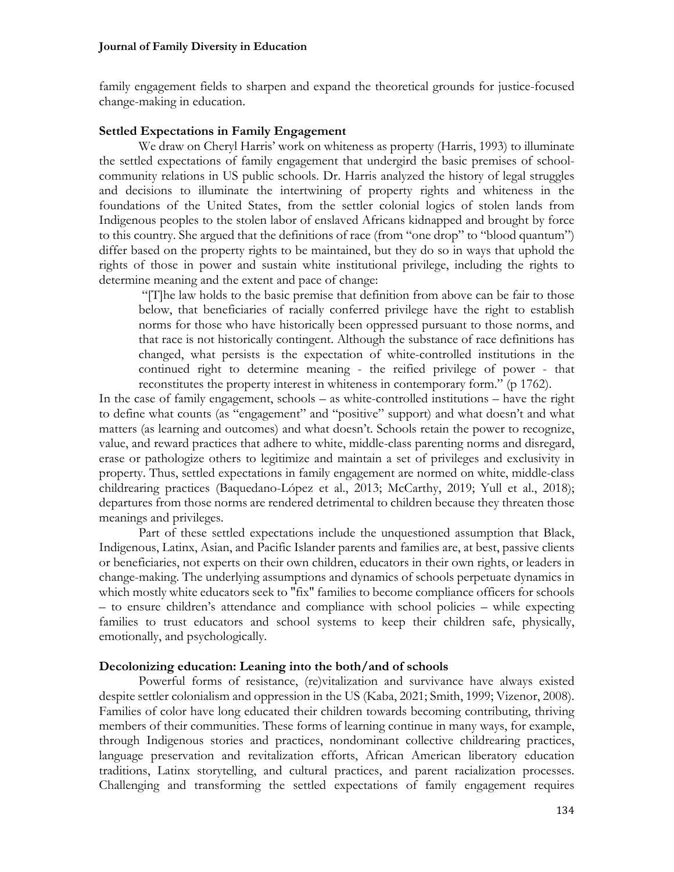family engagement fields to sharpen and expand the theoretical grounds for justice-focused change-making in education.

#### **Settled Expectations in Family Engagement**

We draw on Cheryl Harris' work on whiteness as property (Harris, 1993) to illuminate the settled expectations of family engagement that undergird the basic premises of schoolcommunity relations in US public schools. Dr. Harris analyzed the history of legal struggles and decisions to illuminate the intertwining of property rights and whiteness in the foundations of the United States, from the settler colonial logics of stolen lands from Indigenous peoples to the stolen labor of enslaved Africans kidnapped and brought by force to this country. She argued that the definitions of race (from "one drop" to "blood quantum") differ based on the property rights to be maintained, but they do so in ways that uphold the rights of those in power and sustain white institutional privilege, including the rights to determine meaning and the extent and pace of change:

"[T]he law holds to the basic premise that definition from above can be fair to those below, that beneficiaries of racially conferred privilege have the right to establish norms for those who have historically been oppressed pursuant to those norms, and that race is not historically contingent. Although the substance of race definitions has changed, what persists is the expectation of white-controlled institutions in the continued right to determine meaning - the reified privilege of power - that reconstitutes the property interest in whiteness in contemporary form." (p 1762).

In the case of family engagement, schools – as white-controlled institutions – have the right to define what counts (as "engagement" and "positive" support) and what doesn't and what matters (as learning and outcomes) and what doesn't. Schools retain the power to recognize, value, and reward practices that adhere to white, middle-class parenting norms and disregard, erase or pathologize others to legitimize and maintain a set of privileges and exclusivity in property. Thus, settled expectations in family engagement are normed on white, middle-class childrearing practices (Baquedano-López et al., 2013; McCarthy, 2019; Yull et al., 2018); departures from those norms are rendered detrimental to children because they threaten those meanings and privileges.

Part of these settled expectations include the unquestioned assumption that Black, Indigenous, Latinx, Asian, and Pacific Islander parents and families are, at best, passive clients or beneficiaries, not experts on their own children, educators in their own rights, or leaders in change-making. The underlying assumptions and dynamics of schools perpetuate dynamics in which mostly white educators seek to "fix" families to become compliance officers for schools – to ensure children's attendance and compliance with school policies – while expecting families to trust educators and school systems to keep their children safe, physically, emotionally, and psychologically.

## **Decolonizing education: Leaning into the both/and of schools**

Powerful forms of resistance, (re)vitalization and survivance have always existed despite settler colonialism and oppression in the US (Kaba, 2021; Smith, 1999; Vizenor, 2008). Families of color have long educated their children towards becoming contributing, thriving members of their communities. These forms of learning continue in many ways, for example, through Indigenous stories and practices, nondominant collective childrearing practices, language preservation and revitalization efforts, African American liberatory education traditions, Latinx storytelling, and cultural practices, and parent racialization processes. Challenging and transforming the settled expectations of family engagement requires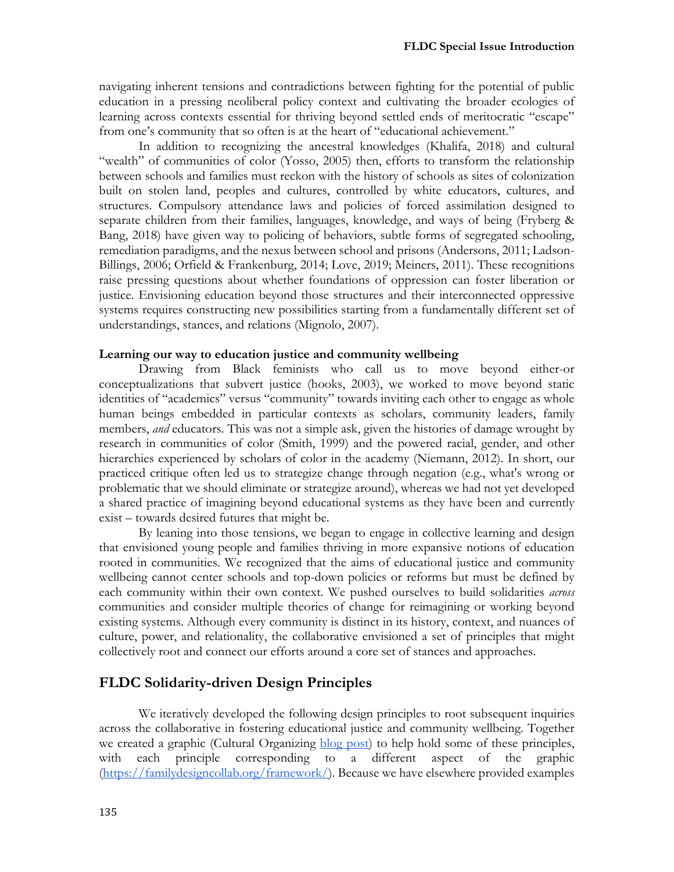navigating inherent tensions and contradictions between fighting for the potential of public education in a pressing neoliberal policy context and cultivating the broader ecologies of learning across contexts essential for thriving beyond settled ends of meritocratic "escape" from one's community that so often is at the heart of "educational achievement."

In addition to recognizing the ancestral knowledges (Khalifa, 2018) and cultural "wealth" of communities of color (Yosso, 2005) then, efforts to transform the relationship between schools and families must reckon with the history of schools as sites of colonization built on stolen land, peoples and cultures, controlled by white educators, cultures, and structures. Compulsory attendance laws and policies of forced assimilation designed to separate children from their families, languages, knowledge, and ways of being (Fryberg & Bang, 2018) have given way to policing of behaviors, subtle forms of segregated schooling, remediation paradigms, and the nexus between school and prisons (Andersons, 2011; Ladson-Billings, 2006; Orfield & Frankenburg, 2014; Love, 2019; Meiners, 2011). These recognitions raise pressing questions about whether foundations of oppression can foster liberation or justice. Envisioning education beyond those structures and their interconnected oppressive systems requires constructing new possibilities starting from a fundamentally different set of understandings, stances, and relations (Mignolo, 2007).

#### **Learning our way to education justice and community wellbeing**

Drawing from Black feminists who call us to move beyond either-or conceptualizations that subvert justice (hooks, 2003), we worked to move beyond static identities of "academics" versus "community" towards inviting each other to engage as whole human beings embedded in particular contexts as scholars, community leaders, family members, *and* educators. This was not a simple ask, given the histories of damage wrought by research in communities of color (Smith, 1999) and the powered racial, gender, and other hierarchies experienced by scholars of color in the academy (Niemann, 2012). In short, our practiced critique often led us to strategize change through negation (e.g., what's wrong or problematic that we should eliminate or strategize around), whereas we had not yet developed a shared practice of imagining beyond educational systems as they have been and currently exist – towards desired futures that might be.

By leaning into those tensions, we began to engage in collective learning and design that envisioned young people and families thriving in more expansive notions of education rooted in communities. We recognized that the aims of educational justice and community wellbeing cannot center schools and top-down policies or reforms but must be defined by each community within their own context. We pushed ourselves to build solidarities *across* communities and consider multiple theories of change for reimagining or working beyond existing systems. Although every community is distinct in its history, context, and nuances of culture, power, and relationality, the collaborative envisioned a set of principles that might collectively root and connect our efforts around a core set of stances and approaches.

#### **FLDC Solidarity-driven Design Principles**

We iteratively developed the following design principles to root subsequent inquiries across the collaborative in fostering educational justice and community wellbeing. Together we created a graphic (Cultural Organizing blog post) to help hold some of these principles, with each principle corresponding to a different aspect of the graphic (https://familydesigncollab.org/framework/). Because we have elsewhere provided examples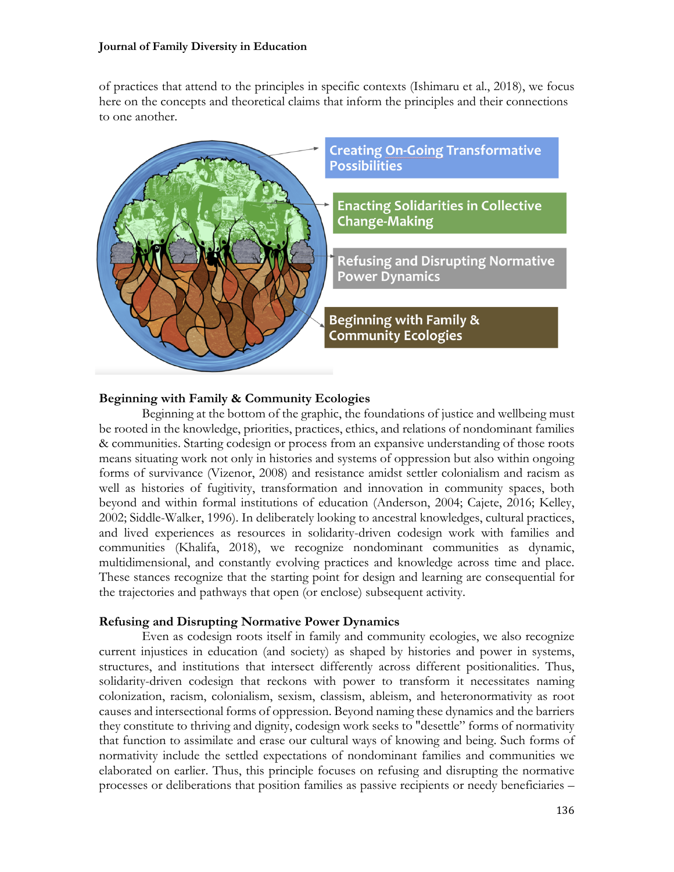#### **Journal of Family Diversity in Education**

of practices that attend to the principles in specific contexts (Ishimaru et al., 2018), we focus here on the concepts and theoretical claims that inform the principles and their connections to one another.



## **Beginning with Family & Community Ecologies**

Beginning at the bottom of the graphic, the foundations of justice and wellbeing must be rooted in the knowledge, priorities, practices, ethics, and relations of nondominant families & communities. Starting codesign or process from an expansive understanding of those roots means situating work not only in histories and systems of oppression but also within ongoing forms of survivance (Vizenor, 2008) and resistance amidst settler colonialism and racism as well as histories of fugitivity, transformation and innovation in community spaces, both beyond and within formal institutions of education (Anderson, 2004; Cajete, 2016; Kelley, 2002; Siddle-Walker, 1996). In deliberately looking to ancestral knowledges, cultural practices, and lived experiences as resources in solidarity-driven codesign work with families and communities (Khalifa, 2018), we recognize nondominant communities as dynamic, multidimensional, and constantly evolving practices and knowledge across time and place. These stances recognize that the starting point for design and learning are consequential for the trajectories and pathways that open (or enclose) subsequent activity.

## **Refusing and Disrupting Normative Power Dynamics**

Even as codesign roots itself in family and community ecologies, we also recognize current injustices in education (and society) as shaped by histories and power in systems, structures, and institutions that intersect differently across different positionalities. Thus, solidarity-driven codesign that reckons with power to transform it necessitates naming colonization, racism, colonialism, sexism, classism, ableism, and heteronormativity as root causes and intersectional forms of oppression. Beyond naming these dynamics and the barriers they constitute to thriving and dignity, codesign work seeks to "desettle" forms of normativity that function to assimilate and erase our cultural ways of knowing and being. Such forms of normativity include the settled expectations of nondominant families and communities we elaborated on earlier. Thus, this principle focuses on refusing and disrupting the normative processes or deliberations that position families as passive recipients or needy beneficiaries –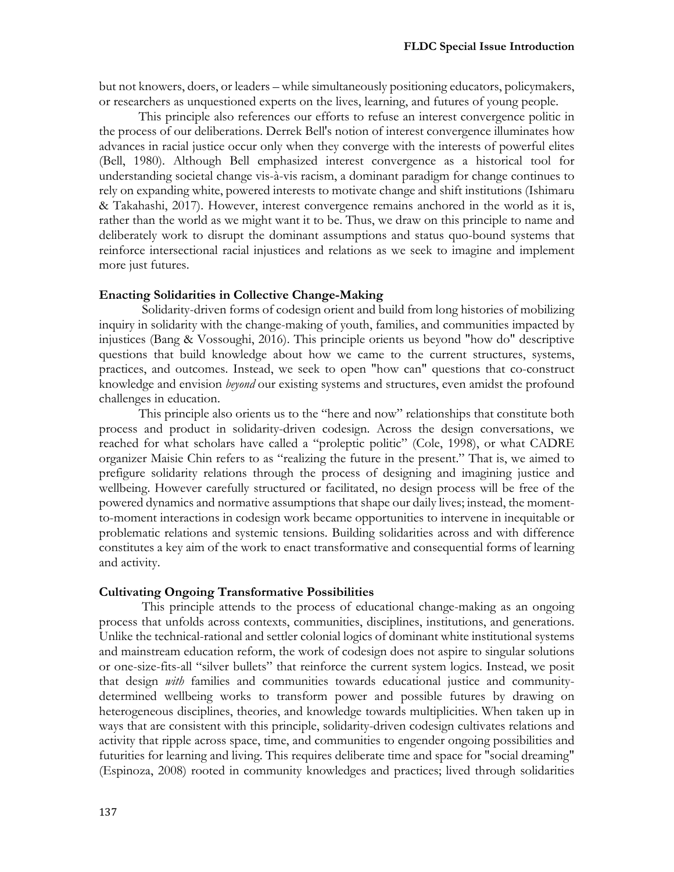but not knowers, doers, or leaders – while simultaneously positioning educators, policymakers, or researchers as unquestioned experts on the lives, learning, and futures of young people.

This principle also references our efforts to refuse an interest convergence politic in the process of our deliberations. Derrek Bell's notion of interest convergence illuminates how advances in racial justice occur only when they converge with the interests of powerful elites (Bell, 1980). Although Bell emphasized interest convergence as a historical tool for understanding societal change vis-à-vis racism, a dominant paradigm for change continues to rely on expanding white, powered interests to motivate change and shift institutions (Ishimaru & Takahashi, 2017). However, interest convergence remains anchored in the world as it is, rather than the world as we might want it to be. Thus, we draw on this principle to name and deliberately work to disrupt the dominant assumptions and status quo-bound systems that reinforce intersectional racial injustices and relations as we seek to imagine and implement more just futures.

#### **Enacting Solidarities in Collective Change-Making**

Solidarity-driven forms of codesign orient and build from long histories of mobilizing inquiry in solidarity with the change-making of youth, families, and communities impacted by injustices (Bang & Vossoughi, 2016). This principle orients us beyond "how do" descriptive questions that build knowledge about how we came to the current structures, systems, practices, and outcomes. Instead, we seek to open "how can" questions that co-construct knowledge and envision *beyond* our existing systems and structures, even amidst the profound challenges in education.

This principle also orients us to the "here and now" relationships that constitute both process and product in solidarity-driven codesign. Across the design conversations, we reached for what scholars have called a "proleptic politic" (Cole, 1998), or what CADRE organizer Maisie Chin refers to as "realizing the future in the present." That is, we aimed to prefigure solidarity relations through the process of designing and imagining justice and wellbeing. However carefully structured or facilitated, no design process will be free of the powered dynamics and normative assumptions that shape our daily lives; instead, the momentto-moment interactions in codesign work became opportunities to intervene in inequitable or problematic relations and systemic tensions. Building solidarities across and with difference constitutes a key aim of the work to enact transformative and consequential forms of learning and activity.

#### **Cultivating Ongoing Transformative Possibilities**

This principle attends to the process of educational change-making as an ongoing process that unfolds across contexts, communities, disciplines, institutions, and generations. Unlike the technical-rational and settler colonial logics of dominant white institutional systems and mainstream education reform, the work of codesign does not aspire to singular solutions or one-size-fits-all "silver bullets" that reinforce the current system logics. Instead, we posit that design *with* families and communities towards educational justice and communitydetermined wellbeing works to transform power and possible futures by drawing on heterogeneous disciplines, theories, and knowledge towards multiplicities. When taken up in ways that are consistent with this principle, solidarity-driven codesign cultivates relations and activity that ripple across space, time, and communities to engender ongoing possibilities and futurities for learning and living. This requires deliberate time and space for "social dreaming" (Espinoza, 2008) rooted in community knowledges and practices; lived through solidarities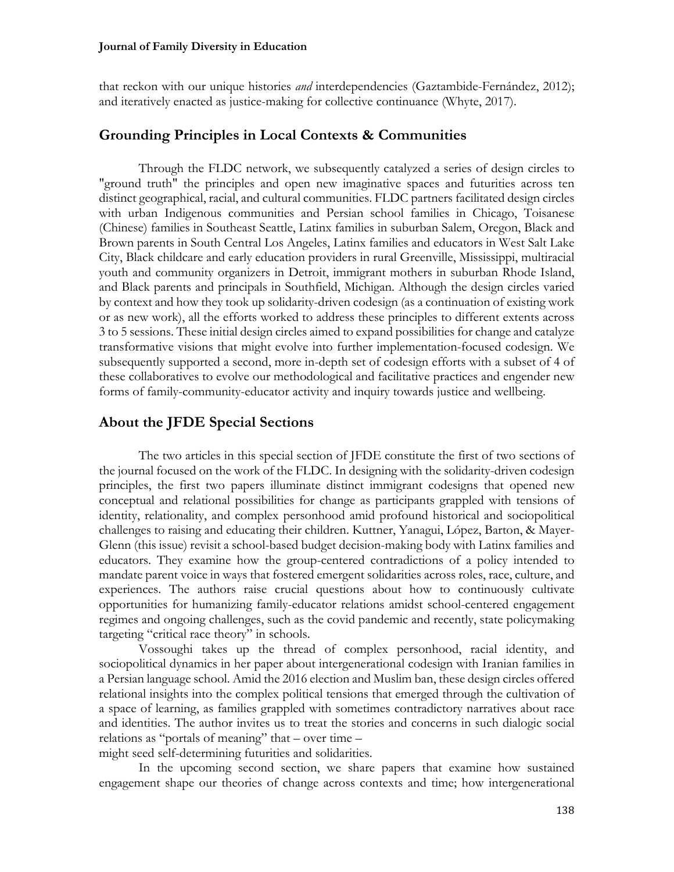#### **Journal of Family Diversity in Education**

that reckon with our unique histories *and* interdependencies (Gaztambide-Fernández, 2012); and iteratively enacted as justice-making for collective continuance (Whyte, 2017).

# **Grounding Principles in Local Contexts & Communities**

Through the FLDC network, we subsequently catalyzed a series of design circles to "ground truth" the principles and open new imaginative spaces and futurities across ten distinct geographical, racial, and cultural communities. FLDC partners facilitated design circles with urban Indigenous communities and Persian school families in Chicago, Toisanese (Chinese) families in Southeast Seattle, Latinx families in suburban Salem, Oregon, Black and Brown parents in South Central Los Angeles, Latinx families and educators in West Salt Lake City, Black childcare and early education providers in rural Greenville, Mississippi, multiracial youth and community organizers in Detroit, immigrant mothers in suburban Rhode Island, and Black parents and principals in Southfield, Michigan. Although the design circles varied by context and how they took up solidarity-driven codesign (as a continuation of existing work or as new work), all the efforts worked to address these principles to different extents across 3 to 5 sessions. These initial design circles aimed to expand possibilities for change and catalyze transformative visions that might evolve into further implementation-focused codesign. We subsequently supported a second, more in-depth set of codesign efforts with a subset of 4 of these collaboratives to evolve our methodological and facilitative practices and engender new forms of family-community-educator activity and inquiry towards justice and wellbeing.

## **About the JFDE Special Sections**

The two articles in this special section of JFDE constitute the first of two sections of the journal focused on the work of the FLDC. In designing with the solidarity-driven codesign principles, the first two papers illuminate distinct immigrant codesigns that opened new conceptual and relational possibilities for change as participants grappled with tensions of identity, relationality, and complex personhood amid profound historical and sociopolitical challenges to raising and educating their children. Kuttner, Yanagui, López, Barton, & Mayer-Glenn (this issue) revisit a school-based budget decision-making body with Latinx families and educators. They examine how the group-centered contradictions of a policy intended to mandate parent voice in ways that fostered emergent solidarities across roles, race, culture, and experiences. The authors raise crucial questions about how to continuously cultivate opportunities for humanizing family-educator relations amidst school-centered engagement regimes and ongoing challenges, such as the covid pandemic and recently, state policymaking targeting "critical race theory" in schools.

Vossoughi takes up the thread of complex personhood, racial identity, and sociopolitical dynamics in her paper about intergenerational codesign with Iranian families in a Persian language school. Amid the 2016 election and Muslim ban, these design circles offered relational insights into the complex political tensions that emerged through the cultivation of a space of learning, as families grappled with sometimes contradictory narratives about race and identities. The author invites us to treat the stories and concerns in such dialogic social relations as "portals of meaning" that – over time –

might seed self-determining futurities and solidarities.

In the upcoming second section, we share papers that examine how sustained engagement shape our theories of change across contexts and time; how intergenerational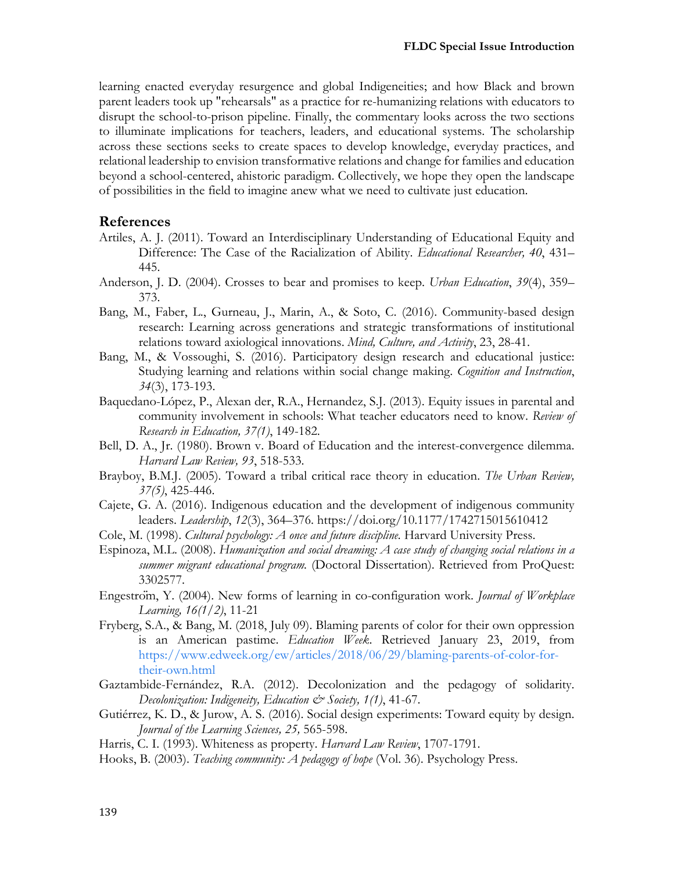learning enacted everyday resurgence and global Indigeneities; and how Black and brown parent leaders took up "rehearsals" as a practice for re-humanizing relations with educators to disrupt the school-to-prison pipeline. Finally, the commentary looks across the two sections to illuminate implications for teachers, leaders, and educational systems. The scholarship across these sections seeks to create spaces to develop knowledge, everyday practices, and relational leadership to envision transformative relations and change for families and education beyond a school-centered, ahistoric paradigm. Collectively, we hope they open the landscape of possibilities in the field to imagine anew what we need to cultivate just education.

## **References**

- Artiles, A. J. (2011). Toward an Interdisciplinary Understanding of Educational Equity and Difference: The Case of the Racialization of Ability. *Educational Researcher, 40*, 431– 445.
- Anderson, J. D. (2004). Crosses to bear and promises to keep. *Urban Education*, *39*(4), 359– 373.
- Bang, M., Faber, L., Gurneau, J., Marin, A., & Soto, C. (2016). Community-based design research: Learning across generations and strategic transformations of institutional relations toward axiological innovations. *Mind, Culture, and Activity*, 23, 28-41.
- Bang, M., & Vossoughi, S. (2016). Participatory design research and educational justice: Studying learning and relations within social change making. *Cognition and Instruction*, *34*(3), 173-193.
- Baquedano-López, P., Alexan der, R.A., Hernandez, S.J. (2013). Equity issues in parental and community involvement in schools: What teacher educators need to know. *Review of Research in Education, 37(1)*, 149-182.
- Bell, D. A., Jr. (1980). Brown v. Board of Education and the interest-convergence dilemma. *Harvard Law Review, 93*, 518-533.
- Brayboy, B.M.J. (2005). Toward a tribal critical race theory in education. *The Urban Review, 37(5)*, 425-446.
- Cajete, G. A. (2016). Indigenous education and the development of indigenous community leaders. *Leadership*, *12*(3), 364–376. https://doi.org/10.1177/1742715015610412
- Cole, M. (1998). *Cultural psychology: A once and future discipline.* Harvard University Press.
- Espinoza, M.L. (2008). *Humanization and social dreaming: A case study of changing social relations in a summer migrant educational program.* (Doctoral Dissertation). Retrieved from ProQuest: 3302577.
- Engeström, Y. (2004). New forms of learning in co-configuration work. *Journal of Workplace Learning, 16(1/2)*, 11-21
- Fryberg, S.A., & Bang, M. (2018, July 09). Blaming parents of color for their own oppression is an American pastime. *Education Week*. Retrieved January 23, 2019, from https://www.edweek.org/ew/articles/2018/06/29/blaming-parents-of-color-fortheir-own.html
- Gaztambide-Fernández, R.A. (2012). Decolonization and the pedagogy of solidarity. *Decolonization: Indigeneity, Education & Society, 1(1)*, 41-67.
- Gutiérrez, K. D., & Jurow, A. S. (2016). Social design experiments: Toward equity by design. *Journal of the Learning Sciences, 25,* 565-598.
- Harris, C. I. (1993). Whiteness as property. *Harvard Law Review*, 1707-1791.
- Hooks, B. (2003). *Teaching community: A pedagogy of hope* (Vol. 36). Psychology Press.